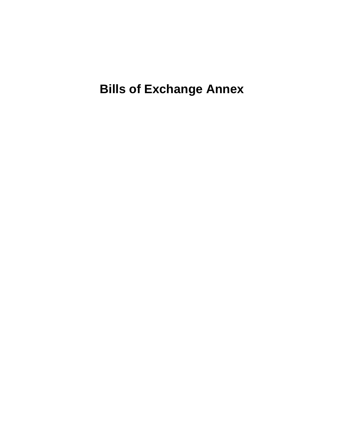**Bills of Exchange Annex**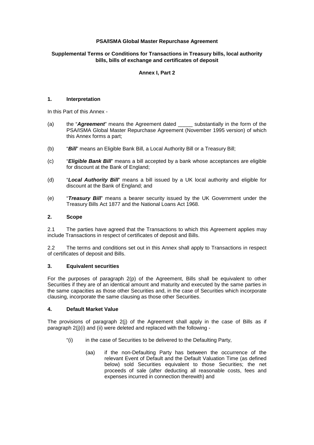# **PSA/ISMA Global Master Repurchase Agreement**

## **Supplemental Terms or Conditions for Transactions in Treasury bills, local authority bills, bills of exchange and certificates of deposit**

## **Annex I, Part 2**

#### **1. Interpretation**

In this Part of this Annex -

- (a) the "*Agreement*" means the Agreement dated \_\_\_\_\_ substantially in the form of the PSA/ISMA Global Master Repurchase Agreement (November 1995 version) of which this Annex forms a part;
- (b) "*Bill*" means an Eligible Bank Bill, a Local Authority Bill or a Treasury Bill;
- (c) "*Eligible Bank Bill*" means a bill accepted by a bank whose acceptances are eligible for discount at the Bank of England;
- (d) "*Local Authority Bill*" means a bill issued by a UK local authority and eligible for discount at the Bank of England; and
- (e) "*Treasury Bill*" means a bearer security issued by the UK Government under the Treasury Bills Act 1877 and the National Loans Act 1968.

### **2. Scope**

2.1 The parties have agreed that the Transactions to which this Agreement applies may include Transactions in respect of certificates of deposit and Bills.

2.2 The terms and conditions set out in this Annex shall apply to Transactions in respect of certificates of deposit and Bills.

## **3. Equivalent securities**

For the purposes of paragraph 2(p) of the Agreement, Bills shall be equivalent to other Securities if they are of an identical amount and maturity and executed by the same parties in the same capacities as those other Securities and, in the case of Securities which incorporate clausing, incorporate the same clausing as those other Securities.

## **4. Default Market Value**

The provisions of paragraph 2(j) of the Agreement shall apply in the case of Bills as if paragraph 2(j)(i) and (ii) were deleted and replaced with the following -

- "(i) in the case of Securities to be delivered to the Defaulting Party,
	- (aa) if the non-Defaulting Party has between the occurrence of the relevant Event of Default and the Default Valuation Time (as defined below) sold Securities equivalent to those Securities; the net proceeds of sale (after deducting all reasonable costs, fees and expenses incurred in connection therewith) and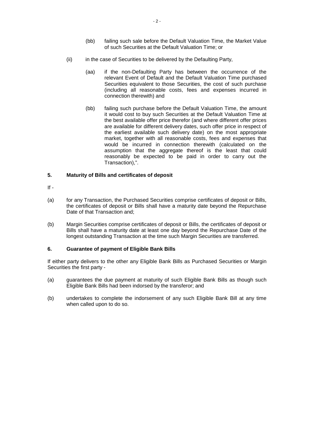- (bb) failing such sale before the Default Valuation Time, the Market Value of such Securities at the Default Valuation Time; or
- (ii) in the case of Securities to be delivered by the Defaulting Party,
	- (aa) if the non-Defaulting Party has between the occurrence of the relevant Event of Default and the Default Valuation Time purchased Securities equivalent to those Securities, the cost of such purchase (including all reasonable costs, fees and expenses incurred in connection therewith) and
	- (bb) failing such purchase before the Default Valuation Time, the amount it would cost to buy such Securities at the Default Valuation Time at the best available offer price therefor (and where different offer prices are available for different delivery dates, such offer price in respect of the earliest available such delivery date) on the most appropriate market, together with all reasonable costs, fees and expenses that would be incurred in connection therewith (calculated on the assumption that the aggregate thereof is the least that could reasonably be expected to be paid in order to carry out the Transaction),".

## **5. Maturity of Bills and certificates of deposit**

- $If -$
- (a) for any Transaction, the Purchased Securities comprise certificates of deposit or Bills, the certificates of deposit or Bills shall have a maturity date beyond the Repurchase Date of that Transaction and;
- (b) Margin Securities comprise certificates of deposit or Bills, the certificates of deposit or Bills shall have a maturity date at least one day beyond the Repurchase Date of the longest outstanding Transaction at the time such Margin Securities are transferred.

### **6. Guarantee of payment of Eligible Bank Bills**

If either party delivers to the other any Eligible Bank Bills as Purchased Securities or Margin Securities the first party -

- (a) guarantees the due payment at maturity of such Eligible Bank Bills as though such Eligible Bank Bills had been indorsed by the transferor; and
- (b) undertakes to complete the indorsement of any such Eligible Bank Bill at any time when called upon to do so.